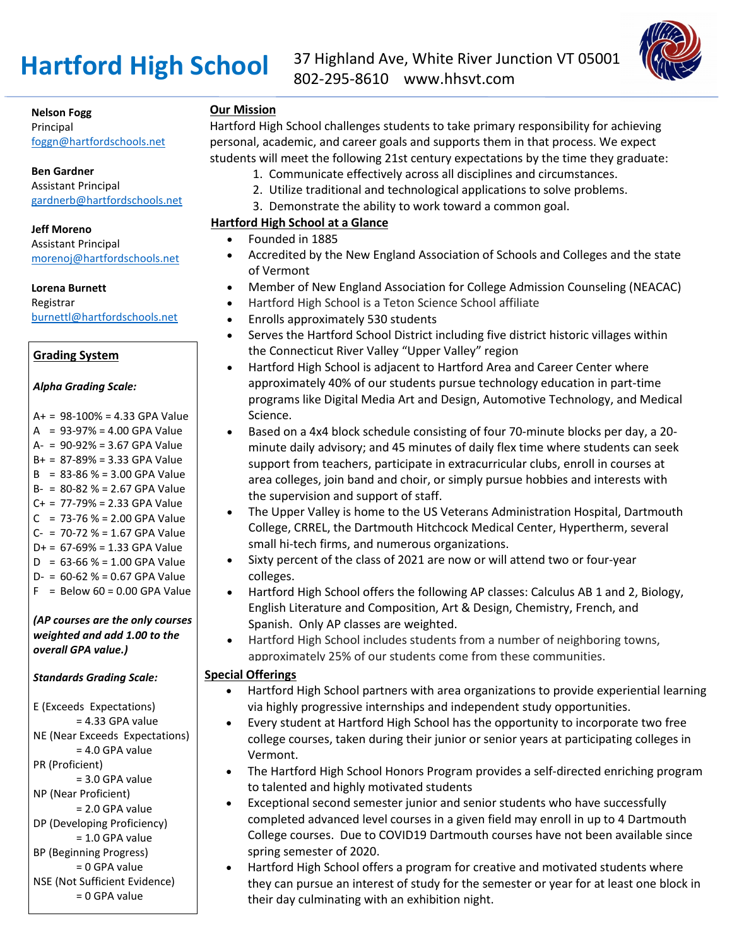

**Nelson Fogg**

Principal [foggn@hartfordschools.net](mailto:foggn@hartfordschools.net)

**Ben Gardner**

Assistant Principal [gardnerb@hartfordschools.net](mailto:gardnerb@hartfordschools.net)

#### **Jeff Moreno**

Assistant Principal [morenoj@hartfordschools.net](mailto:morenoj@hartfordschools.net)

**Lorena Burnett**

Registrar [burnettl@hartfordschools.net](mailto:burnettl@hartfordschools.net)

## **Grading System**

#### *Alpha Grading Scale:*

 $A+ = 98-100\% = 4.33$  GPA Value  $A = 93-97\% = 4.00$  GPA Value A- = 90-92% = 3.67 GPA Value B+ = 87-89% = 3.33 GPA Value  $B = 83-86$  % = 3.00 GPA Value B- = 80-82 % = 2.67 GPA Value  $C_+$  = 77-79% = 2.33 GPA Value  $C = 73-76$  % = 2.00 GPA Value  $C- = 70-72$  % = 1.67 GPA Value  $D+ = 67-69\% = 1.33$  GPA Value  $D = 63 - 66 % = 1.00$  GPA Value  $D - = 60 - 62$  % = 0.67 GPA Value  $F =$  Below 60 = 0.00 GPA Value

*(AP courses are the only courses weighted and add 1.00 to the overall GPA value.)*

## *Standards Grading Scale:*

E (Exceeds Expectations)  $= 4.33$  GPA value NE (Near Exceeds Expectations) = 4.0 GPA value PR (Proficient) = 3.0 GPA value NP (Near Proficient) = 2.0 GPA value DP (Developing Proficiency) = 1.0 GPA value BP (Beginning Progress) = 0 GPA value NSE (Not Sufficient Evidence) = 0 GPA value

# **Our Mission**

Hartford High School challenges students to take primary responsibility for achieving personal, academic, and career goals and supports them in that process. We expect students will meet the following 21st century expectations by the time they graduate:

- 1. Communicate effectively across all disciplines and circumstances.
- 2. Utilize traditional and technological applications to solve problems.
- 3. Demonstrate the ability to work toward a common goal.

# **Hartford High School at a Glance**

- Founded in 1885
- Accredited by the New England Association of Schools and Colleges and the state of Vermont
- Member of New England Association for College Admission Counseling (NEACAC)
- Hartford High School is a Teton Science School affiliate
- Enrolls approximately 530 students
- Serves the Hartford School District including five district historic villages within the Connecticut River Valley "Upper Valley" region
- Hartford High School is adjacent to Hartford Area and Career Center where approximately 40% of our students pursue technology education in part-time programs like Digital Media Art and Design, Automotive Technology, and Medical Science.
- Based on a 4x4 block schedule consisting of four 70-minute blocks per day, a 20 minute daily advisory; and 45 minutes of daily flex time where students can seek support from teachers, participate in extracurricular clubs, enroll in courses at area colleges, join band and choir, or simply pursue hobbies and interests with the supervision and support of staff.
- The Upper Valley is home to the US Veterans Administration Hospital, Dartmouth College, CRREL, the Dartmouth Hitchcock Medical Center, Hypertherm, several small hi-tech firms, and numerous organizations.
- Sixty percent of the class of 2021 are now or will attend two or four-year colleges.
- Hartford High School offers the following AP classes: Calculus AB 1 and 2, Biology, English Literature and Composition, Art & Design, Chemistry, French, and Spanish. Only AP classes are weighted.
- Hartford High School includes students from a number of neighboring towns, approximately 25% of our students come from these communities.

## **Special Offerings**

- Hartford High School partners with area organizations to provide experiential learning via highly progressive internships and independent study opportunities.
- Every student at Hartford High School has the opportunity to incorporate two free college courses, taken during their junior or senior years at participating colleges in Vermont.
- The Hartford High School Honors Program provides a self-directed enriching program to talented and highly motivated students
- Exceptional second semester junior and senior students who have successfully completed advanced level courses in a given field may enroll in up to 4 Dartmouth College courses. Due to COVID19 Dartmouth courses have not been available since spring semester of 2020.
- Hartford High School offers a program for creative and motivated students where they can pursue an interest of study for the semester or year for at least one block in their day culminating with an exhibition night.